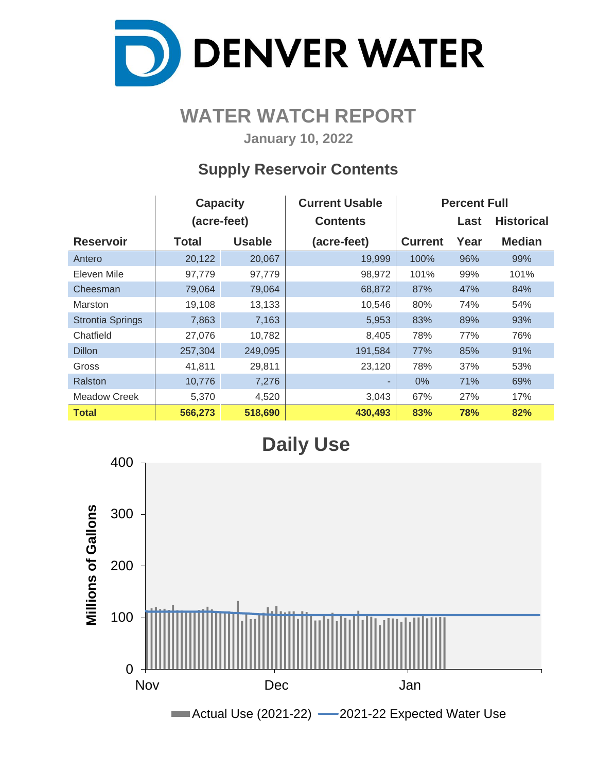

## **WATER WATCH REPORT**

**January 10, 2022**

### **Supply Reservoir Contents**

|                         | <b>Capacity</b> |               | <b>Current Usable</b> | <b>Percent Full</b> |      |                   |  |  |  |
|-------------------------|-----------------|---------------|-----------------------|---------------------|------|-------------------|--|--|--|
|                         | (acre-feet)     |               | <b>Contents</b>       |                     | Last | <b>Historical</b> |  |  |  |
| <b>Reservoir</b>        | <b>Total</b>    | <b>Usable</b> | (acre-feet)           | <b>Current</b>      | Year | <b>Median</b>     |  |  |  |
| Antero                  | 20,122          | 20,067        | 19,999                | 100%                | 96%  | 99%               |  |  |  |
| Eleven Mile             | 97,779          | 97,779        | 98,972                | 101%                | 99%  | 101%              |  |  |  |
| Cheesman                | 79,064          | 79,064        | 68,872                | 87%                 | 47%  | 84%               |  |  |  |
| Marston                 | 19,108          | 13,133        | 10,546                | 80%                 | 74%  | 54%               |  |  |  |
| <b>Strontia Springs</b> | 7,863           | 7,163         | 5,953                 | 83%                 | 89%  | 93%               |  |  |  |
| Chatfield               | 27,076          | 10,782        | 8,405                 | 78%                 | 77%  | 76%               |  |  |  |
| <b>Dillon</b>           | 257,304         | 249,095       | 191,584               | 77%                 | 85%  | 91%               |  |  |  |
| Gross                   | 41,811          | 29,811        | 23,120                | 78%                 | 37%  | 53%               |  |  |  |
| Ralston                 | 10,776          | 7,276         | ٠                     | $0\%$               | 71%  | 69%               |  |  |  |
| Meadow Creek            | 5,370           | 4,520         | 3,043                 | 67%                 | 27%  | 17%               |  |  |  |
| <b>Total</b>            | 566,273         | 518,690       | 430,493               | 83%                 | 78%  | 82%               |  |  |  |

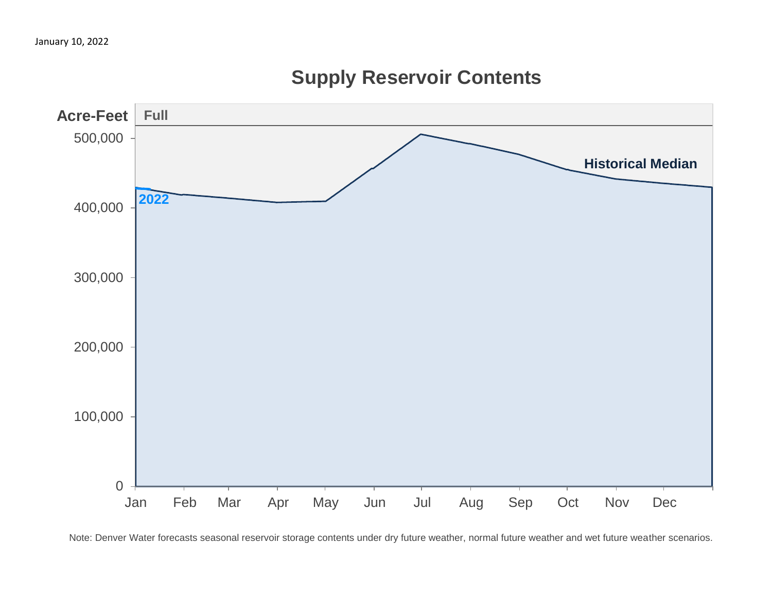

## **Supply Reservoir Contents**

Note: Denver Water forecasts seasonal reservoir storage contents under dry future weather, normal future weather and wet future weather scenarios.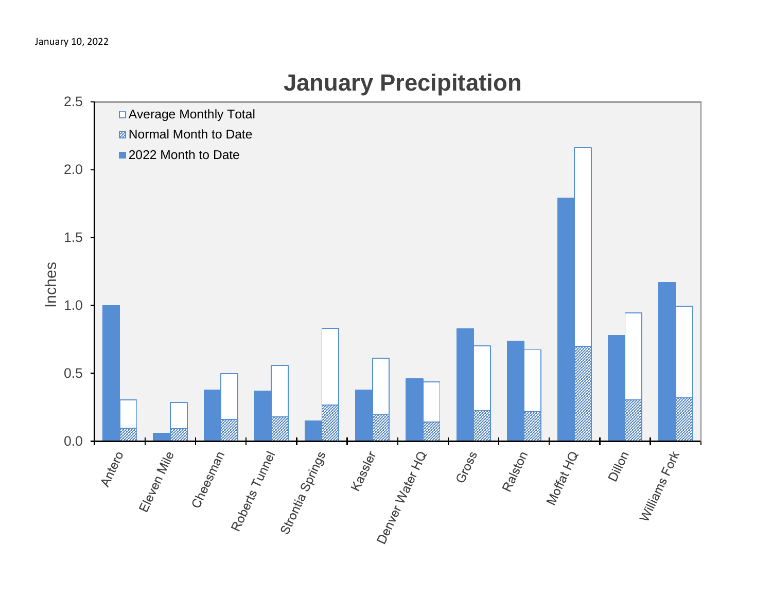

# **January Precipitation**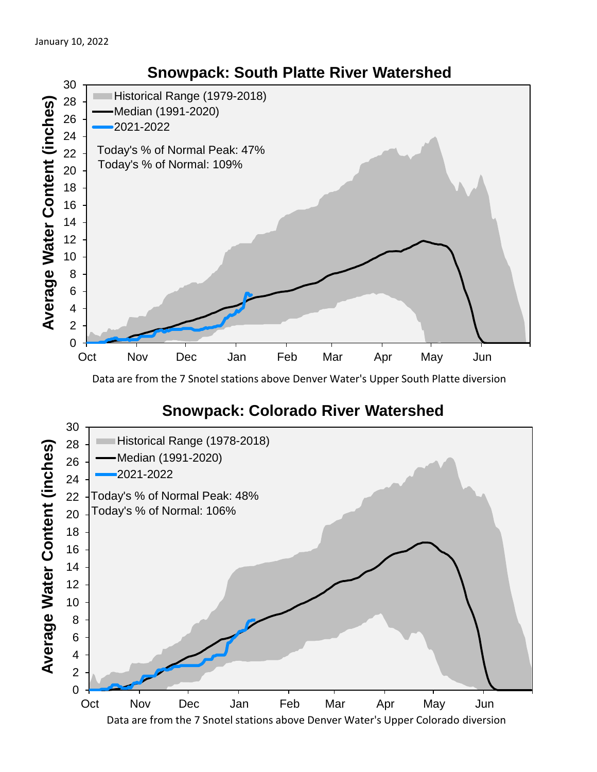

Data are from the 7 Snotel stations above Denver Water's Upper South Platte diversion

### **Snowpack: Colorado River Watershed**



### **Snowpack: South Platte River Watershed**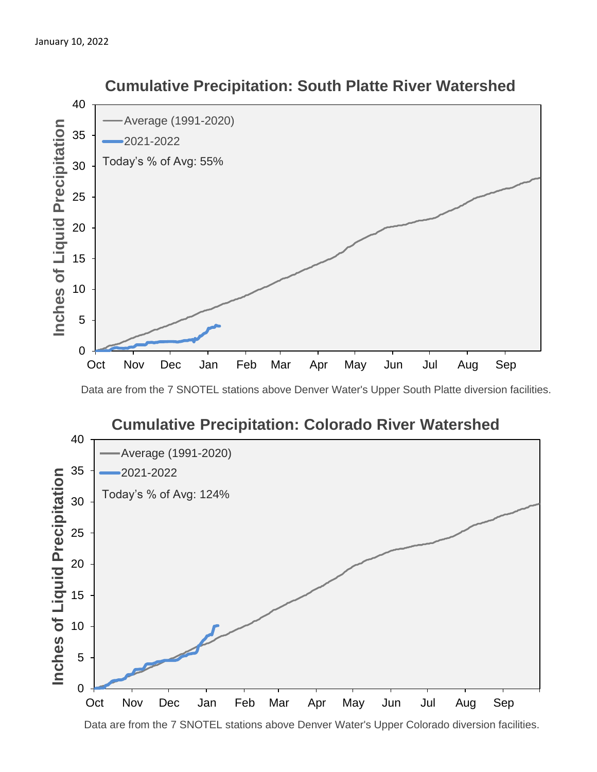

#### **Cumulative Precipitation: South Platte River Watershed**

Data are from the 7 SNOTEL stations above Denver Water's Upper South Platte diversion facilities.



Data are from the 7 SNOTEL stations above Denver Water's Upper Colorado diversion facilities.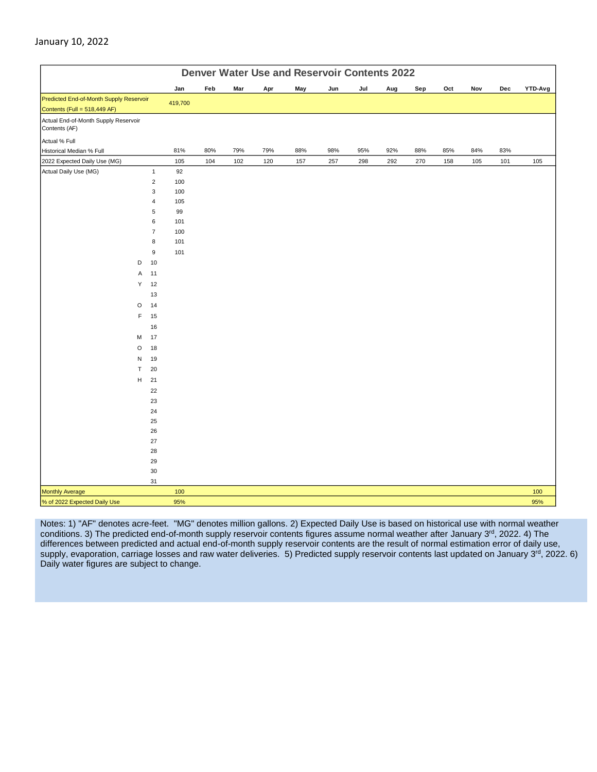|                                                                         | <b>Denver Water Use and Reservoir Contents 2022</b> |         |     |     |     |     |     |     |     |     |     |     |     |         |
|-------------------------------------------------------------------------|-----------------------------------------------------|---------|-----|-----|-----|-----|-----|-----|-----|-----|-----|-----|-----|---------|
|                                                                         |                                                     | Jan     | Feb | Mar | Apr | May | Jun | Jul | Aug | Sep | Oct | Nov | Dec | YTD-Avg |
| Predicted End-of-Month Supply Reservoir<br>Contents (Full = 518,449 AF) |                                                     | 419,700 |     |     |     |     |     |     |     |     |     |     |     |         |
| Actual End-of-Month Supply Reservoir<br>Contents (AF)                   |                                                     |         |     |     |     |     |     |     |     |     |     |     |     |         |
| Actual % Full                                                           |                                                     |         |     |     |     |     |     |     |     |     |     |     |     |         |
| Historical Median % Full                                                |                                                     | 81%     | 80% | 79% | 79% | 88% | 98% | 95% | 92% | 88% | 85% | 84% | 83% |         |
| 2022 Expected Daily Use (MG)                                            |                                                     | 105     | 104 | 102 | 120 | 157 | 257 | 298 | 292 | 270 | 158 | 105 | 101 | 105     |
| Actual Daily Use (MG)                                                   | $\mathbf{1}$                                        | 92      |     |     |     |     |     |     |     |     |     |     |     |         |
|                                                                         | $\overline{2}$                                      | 100     |     |     |     |     |     |     |     |     |     |     |     |         |
|                                                                         | 3                                                   | 100     |     |     |     |     |     |     |     |     |     |     |     |         |
|                                                                         | 4                                                   | 105     |     |     |     |     |     |     |     |     |     |     |     |         |
|                                                                         | 5                                                   | 99      |     |     |     |     |     |     |     |     |     |     |     |         |
|                                                                         | 6                                                   | 101     |     |     |     |     |     |     |     |     |     |     |     |         |
|                                                                         | $\overline{7}$                                      | 100     |     |     |     |     |     |     |     |     |     |     |     |         |
|                                                                         | 8                                                   | 101     |     |     |     |     |     |     |     |     |     |     |     |         |
|                                                                         | 9                                                   | 101     |     |     |     |     |     |     |     |     |     |     |     |         |
| D                                                                       | 10                                                  |         |     |     |     |     |     |     |     |     |     |     |     |         |
| Α                                                                       | 11                                                  |         |     |     |     |     |     |     |     |     |     |     |     |         |
| Y                                                                       | 12                                                  |         |     |     |     |     |     |     |     |     |     |     |     |         |
|                                                                         | 13                                                  |         |     |     |     |     |     |     |     |     |     |     |     |         |
| $\circ$                                                                 | 14                                                  |         |     |     |     |     |     |     |     |     |     |     |     |         |
| F                                                                       | 15                                                  |         |     |     |     |     |     |     |     |     |     |     |     |         |
|                                                                         | 16                                                  |         |     |     |     |     |     |     |     |     |     |     |     |         |
| M                                                                       | 17                                                  |         |     |     |     |     |     |     |     |     |     |     |     |         |
| $\circ$                                                                 | 18                                                  |         |     |     |     |     |     |     |     |     |     |     |     |         |
| N                                                                       | 19                                                  |         |     |     |     |     |     |     |     |     |     |     |     |         |
| $\mathsf T$                                                             | 20                                                  |         |     |     |     |     |     |     |     |     |     |     |     |         |
| H                                                                       | 21                                                  |         |     |     |     |     |     |     |     |     |     |     |     |         |
|                                                                         | 22                                                  |         |     |     |     |     |     |     |     |     |     |     |     |         |
|                                                                         | 23                                                  |         |     |     |     |     |     |     |     |     |     |     |     |         |
|                                                                         | 24                                                  |         |     |     |     |     |     |     |     |     |     |     |     |         |
|                                                                         | 25                                                  |         |     |     |     |     |     |     |     |     |     |     |     |         |
|                                                                         | 26                                                  |         |     |     |     |     |     |     |     |     |     |     |     |         |
|                                                                         | 27                                                  |         |     |     |     |     |     |     |     |     |     |     |     |         |
|                                                                         | 28                                                  |         |     |     |     |     |     |     |     |     |     |     |     |         |
|                                                                         | 29<br>$30\,$                                        |         |     |     |     |     |     |     |     |     |     |     |     |         |
|                                                                         | 31                                                  |         |     |     |     |     |     |     |     |     |     |     |     |         |
| <b>Monthly Average</b>                                                  |                                                     | 100     |     |     |     |     |     |     |     |     |     |     |     | 100     |
| % of 2022 Expected Daily Use                                            |                                                     | 95%     |     |     |     |     |     |     |     |     |     |     |     | 95%     |

Notes: 1) "AF" denotes acre-feet. "MG" denotes million gallons. 2) Expected Daily Use is based on historical use with normal weather conditions. 3) The predicted end-of-month supply reservoir contents figures assume normal weather after January 3<sup>rd</sup>, 2022. 4) The differences between predicted and actual end-of-month supply reservoir contents are the result of normal estimation error of daily use, supply, evaporation, carriage losses and raw water deliveries. 5) Predicted supply reservoir contents last updated on January 3rd, 2022. 6) Daily water figures are subject to change.